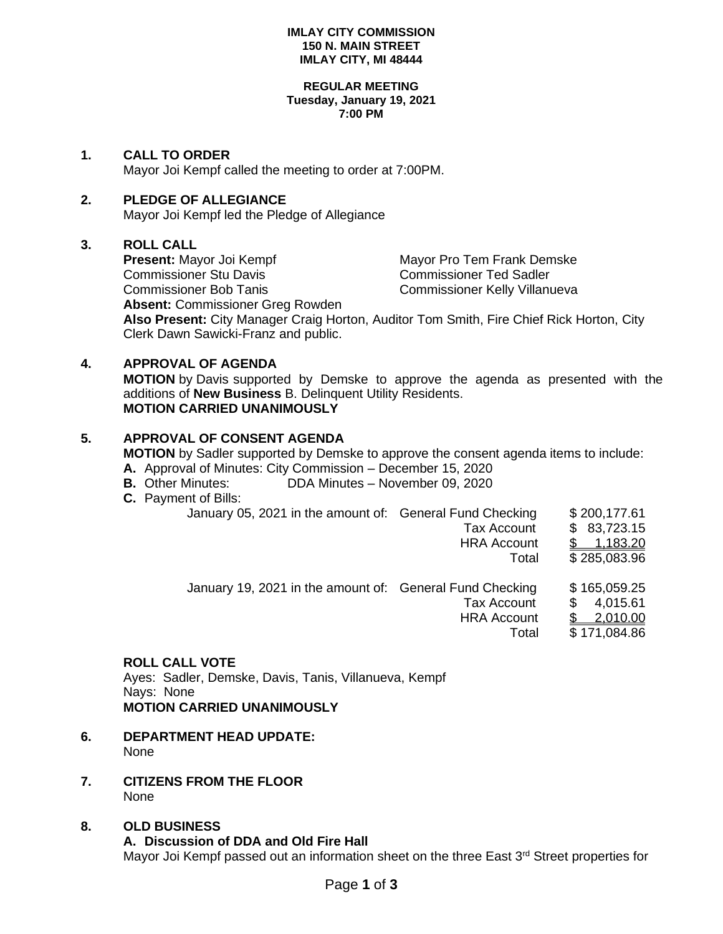#### **IMLAY CITY COMMISSION 150 N. MAIN STREET IMLAY CITY, MI 48444**

#### **REGULAR MEETING Tuesday, January 19, 2021 7:00 PM**

## **1. CALL TO ORDER**

Mayor Joi Kempf called the meeting to order at 7:00PM.

## **2. PLEDGE OF ALLEGIANCE**

Mayor Joi Kempf led the Pledge of Allegiance

## **3. ROLL CALL**

Commissioner Stu Davis Commissioner Ted Sadler

**Present:** Mayor Joi Kempf Mayor Pro Tem Frank Demske Commissioner Bob Tanis Commissioner Kelly Villanueva

**Absent:** Commissioner Greg Rowden

**Also Present:** City Manager Craig Horton, Auditor Tom Smith, Fire Chief Rick Horton, City Clerk Dawn Sawicki-Franz and public.

# **4. APPROVAL OF AGENDA**

**MOTION** by Davis supported by Demske to approve the agenda as presented with the additions of **New Business** B. Delinquent Utility Residents. **MOTION CARRIED UNANIMOUSLY**

## **5. APPROVAL OF CONSENT AGENDA**

**MOTION** by Sadler supported by Demske to approve the consent agenda items to include:

- **A.** Approval of Minutes: City Commission December 15, 2020
- **B.** Other Minutes: DDA Minutes November 09, 2020
- **C.** Payment of Bills:

|  | January 05, 2021 in the amount of: General Fund Checking<br><b>Tax Account</b><br><b>HRA Account</b>          | \$200,177.61<br>\$83,723.15<br>1,183.20              |
|--|---------------------------------------------------------------------------------------------------------------|------------------------------------------------------|
|  | Total                                                                                                         | \$285,083.96                                         |
|  | January 19, 2021 in the amount of: General Fund Checking<br><b>Tax Account</b><br><b>HRA Account</b><br>Total | \$165,059.25<br>4,015.61<br>2,010.00<br>\$171,084.86 |

# **ROLL CALL VOTE**

Ayes: Sadler, Demske, Davis, Tanis, Villanueva, Kempf Nays: None **MOTION CARRIED UNANIMOUSLY**

- **6. DEPARTMENT HEAD UPDATE:**  None
- **7. CITIZENS FROM THE FLOOR** None
- **8. OLD BUSINESS A. Discussion of DDA and Old Fire Hall** Mayor Joi Kempf passed out an information sheet on the three East 3<sup>rd</sup> Street properties for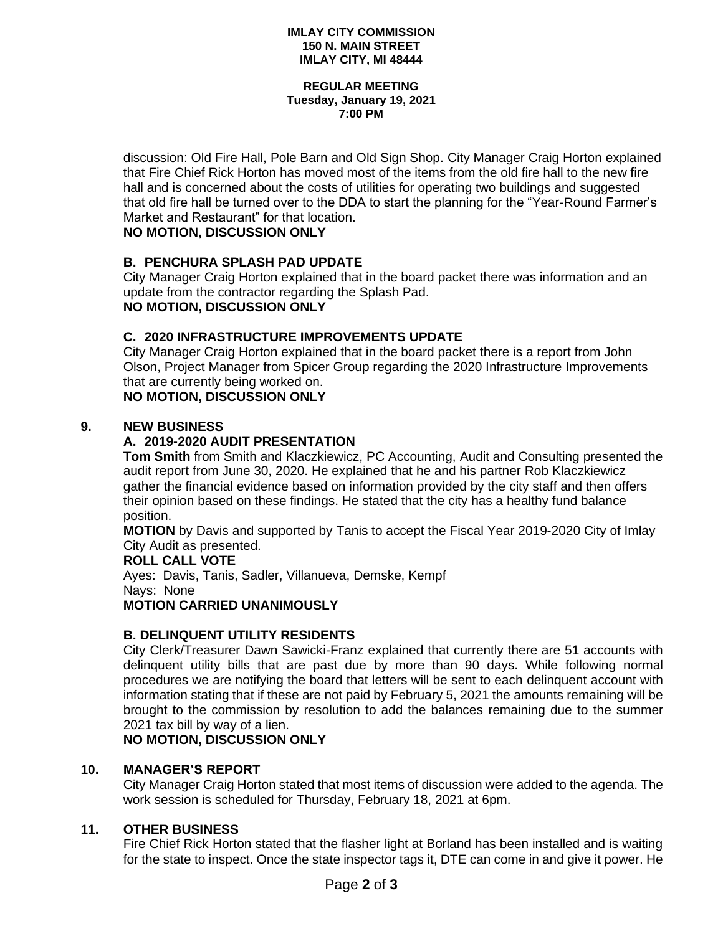#### **IMLAY CITY COMMISSION 150 N. MAIN STREET IMLAY CITY, MI 48444**

#### **REGULAR MEETING Tuesday, January 19, 2021 7:00 PM**

discussion: Old Fire Hall, Pole Barn and Old Sign Shop. City Manager Craig Horton explained that Fire Chief Rick Horton has moved most of the items from the old fire hall to the new fire hall and is concerned about the costs of utilities for operating two buildings and suggested that old fire hall be turned over to the DDA to start the planning for the "Year-Round Farmer's Market and Restaurant" for that location.

# **NO MOTION, DISCUSSION ONLY**

# **B. PENCHURA SPLASH PAD UPDATE**

City Manager Craig Horton explained that in the board packet there was information and an update from the contractor regarding the Splash Pad. **NO MOTION, DISCUSSION ONLY**

# **C. 2020 INFRASTRUCTURE IMPROVEMENTS UPDATE**

City Manager Craig Horton explained that in the board packet there is a report from John Olson, Project Manager from Spicer Group regarding the 2020 Infrastructure Improvements that are currently being worked on.

# **NO MOTION, DISCUSSION ONLY**

## **9. NEW BUSINESS**

# **A. 2019-2020 AUDIT PRESENTATION**

**Tom Smith** from Smith and Klaczkiewicz, PC Accounting, Audit and Consulting presented the audit report from June 30, 2020. He explained that he and his partner Rob Klaczkiewicz gather the financial evidence based on information provided by the city staff and then offers their opinion based on these findings. He stated that the city has a healthy fund balance position.

**MOTION** by Davis and supported by Tanis to accept the Fiscal Year 2019-2020 City of Imlay City Audit as presented.

## **ROLL CALL VOTE**

Ayes: Davis, Tanis, Sadler, Villanueva, Demske, Kempf Nays: None **MOTION CARRIED UNANIMOUSLY**

# **B. DELINQUENT UTILITY RESIDENTS**

City Clerk/Treasurer Dawn Sawicki-Franz explained that currently there are 51 accounts with delinquent utility bills that are past due by more than 90 days. While following normal procedures we are notifying the board that letters will be sent to each delinquent account with information stating that if these are not paid by February 5, 2021 the amounts remaining will be brought to the commission by resolution to add the balances remaining due to the summer 2021 tax bill by way of a lien.

**NO MOTION, DISCUSSION ONLY**

## **10. MANAGER'S REPORT**

City Manager Craig Horton stated that most items of discussion were added to the agenda. The work session is scheduled for Thursday, February 18, 2021 at 6pm.

## **11. OTHER BUSINESS**

Fire Chief Rick Horton stated that the flasher light at Borland has been installed and is waiting for the state to inspect. Once the state inspector tags it, DTE can come in and give it power. He